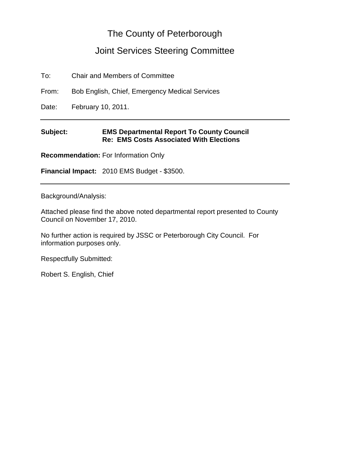# The County of Peterborough

# Joint Services Steering Committee

To: Chair and Members of Committee

From: Bob English, Chief, Emergency Medical Services

Date: February 10, 2011.

#### **Subject: EMS Departmental Report To County Council Re: EMS Costs Associated With Elections**

**Recommendation:** For Information Only

**Financial Impact:** 2010 EMS Budget - \$3500.

Background/Analysis:

Attached please find the above noted departmental report presented to County Council on November 17, 2010.

No further action is required by JSSC or Peterborough City Council. For information purposes only.

Respectfully Submitted:

Robert S. English, Chief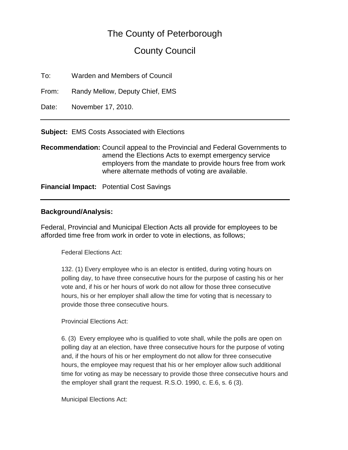# The County of Peterborough

# County Council

To: Warden and Members of Council

From: Randy Mellow, Deputy Chief, EMS

Date: November 17, 2010.

**Subject:** EMS Costs Associated with Elections

**Recommendation:** Council appeal to the Provincial and Federal Governments to amend the Elections Acts to exempt emergency service employers from the mandate to provide hours free from work where alternate methods of voting are available.

**Financial Impact:** Potential Cost Savings

#### **Background/Analysis:**

Federal, Provincial and Municipal Election Acts all provide for employees to be afforded time free from work in order to vote in elections, as follows;

Federal Elections Act:

132. (1) Every employee who is an elector is entitled, during voting hours on polling day, to have three consecutive hours for the purpose of casting his or her vote and, if his or her hours of work do not allow for those three consecutive hours, his or her employer shall allow the time for voting that is necessary to provide those three consecutive hours.

Provincial Elections Act:

6. [\(3\)](http://www.e-laws.gov.on.ca/html/statutes/french/elaws_statutes_90e06_f.htm#s6s3) Every employee who is qualified to vote shall, while the polls are open on polling day at an election, have three consecutive hours for the purpose of voting and, if the hours of his or her employment do not allow for three consecutive hours, the employee may request that his or her employer allow such additional time for voting as may be necessary to provide those three consecutive hours and the employer shall grant the request. R.S.O. 1990, c. E.6, s. 6 (3).

Municipal Elections Act: